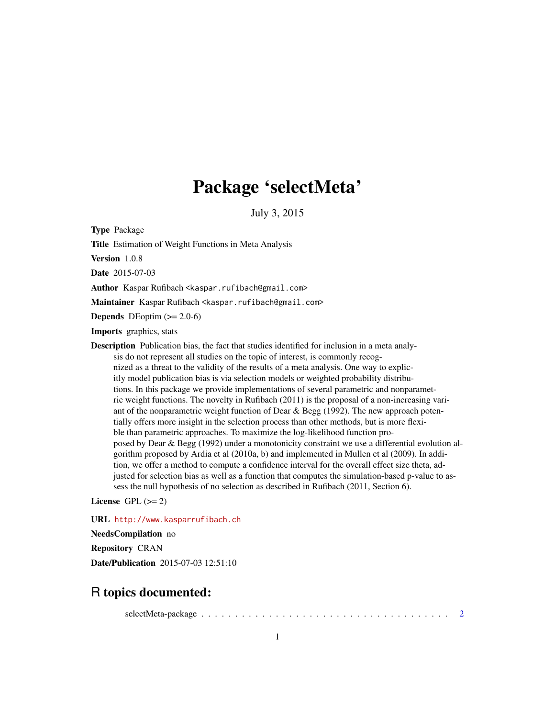# Package 'selectMeta'

July 3, 2015

<span id="page-0-0"></span>Type Package

Title Estimation of Weight Functions in Meta Analysis

Version 1.0.8

Date 2015-07-03

Author Kaspar Rufibach <kaspar.rufibach@gmail.com>

Maintainer Kaspar Rufibach <kaspar.rufibach@gmail.com>

**Depends** DEoptim  $(>= 2.0-6)$ 

Imports graphics, stats

Description Publication bias, the fact that studies identified for inclusion in a meta analysis do not represent all studies on the topic of interest, is commonly recognized as a threat to the validity of the results of a meta analysis. One way to explicitly model publication bias is via selection models or weighted probability distributions. In this package we provide implementations of several parametric and nonparametric weight functions. The novelty in Rufibach (2011) is the proposal of a non-increasing variant of the nonparametric weight function of Dear & Begg (1992). The new approach potentially offers more insight in the selection process than other methods, but is more flexible than parametric approaches. To maximize the log-likelihood function proposed by Dear & Begg (1992) under a monotonicity constraint we use a differential evolution algorithm proposed by Ardia et al (2010a, b) and implemented in Mullen et al (2009). In addition, we offer a method to compute a confidence interval for the overall effect size theta, adjusted for selection bias as well as a function that computes the simulation-based p-value to assess the null hypothesis of no selection as described in Rufibach (2011, Section 6).

License GPL  $(>= 2)$ 

URL <http://www.kasparrufibach.ch>

NeedsCompilation no Repository CRAN Date/Publication 2015-07-03 12:51:10

# R topics documented:

selectMeta-package . . . . . . . . . . . . . . . . . . . . . . . . . . . . . . . . . . . . . [2](#page-1-0)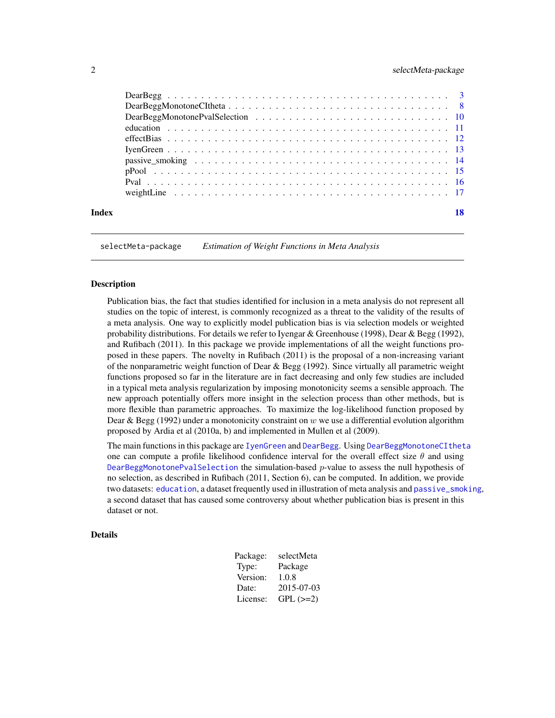# <span id="page-1-0"></span>2 selectMeta-package

| Index | 18 |
|-------|----|

selectMeta-package *Estimation of Weight Functions in Meta Analysis*

# Description

Publication bias, the fact that studies identified for inclusion in a meta analysis do not represent all studies on the topic of interest, is commonly recognized as a threat to the validity of the results of a meta analysis. One way to explicitly model publication bias is via selection models or weighted probability distributions. For details we refer to Iyengar & Greenhouse (1998), Dear & Begg (1992), and Rufibach (2011). In this package we provide implementations of all the weight functions proposed in these papers. The novelty in Rufibach (2011) is the proposal of a non-increasing variant of the nonparametric weight function of Dear  $\&$  Begg (1992). Since virtually all parametric weight functions proposed so far in the literature are in fact decreasing and only few studies are included in a typical meta analysis regularization by imposing monotonicity seems a sensible approach. The new approach potentially offers more insight in the selection process than other methods, but is more flexible than parametric approaches. To maximize the log-likelihood function proposed by Dear & Begg (1992) under a monotonicity constraint on w we use a differential evolution algorithm proposed by Ardia et al (2010a, b) and implemented in Mullen et al (2009).

The main functions in this package are [IyenGreen](#page-12-1) and [DearBegg](#page-2-1). Using [DearBeggMonotoneCItheta](#page-7-1) one can compute a profile likelihood confidence interval for the overall effect size  $\theta$  and using [DearBeggMonotonePvalSelection](#page-9-1) the simulation-based  $p$ -value to assess the null hypothesis of no selection, as described in Rufibach (2011, Section 6), can be computed. In addition, we provide two datasets: [education](#page-10-1), a dataset frequently used in illustration of meta analysis and [passive\\_smoking](#page-13-1), a second dataset that has caused some controversy about whether publication bias is present in this dataset or not.

# Details

| Package: | selectMeta |
|----------|------------|
| Type:    | Package    |
| Version: | 1.0.8      |
| Date:    | 2015-07-03 |
| License: | $GPL (=2)$ |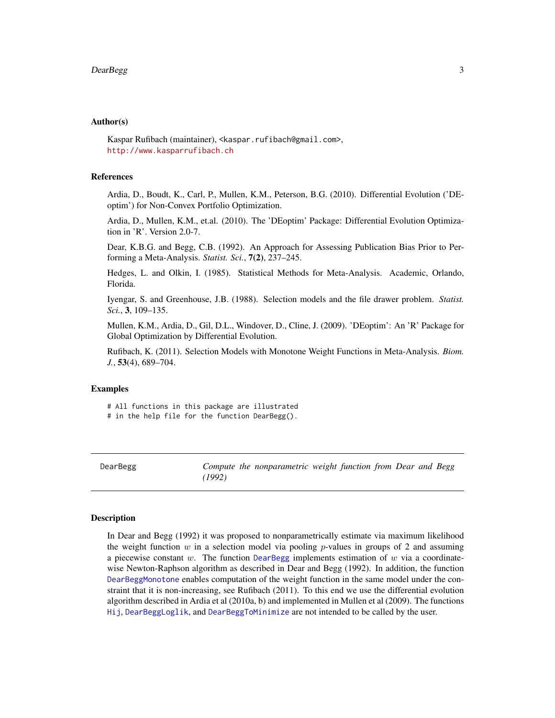#### <span id="page-2-0"></span>Author(s)

Kaspar Rufibach (maintainer), <kaspar.rufibach@gmail.com>, <http://www.kasparrufibach.ch>

#### **References**

Ardia, D., Boudt, K., Carl, P., Mullen, K.M., Peterson, B.G. (2010). Differential Evolution ('DEoptim') for Non-Convex Portfolio Optimization.

Ardia, D., Mullen, K.M., et.al. (2010). The 'DEoptim' Package: Differential Evolution Optimization in 'R'. Version 2.0-7.

Dear, K.B.G. and Begg, C.B. (1992). An Approach for Assessing Publication Bias Prior to Performing a Meta-Analysis. *Statist. Sci.*, 7(2), 237–245.

Hedges, L. and Olkin, I. (1985). Statistical Methods for Meta-Analysis. Academic, Orlando, Florida.

Iyengar, S. and Greenhouse, J.B. (1988). Selection models and the file drawer problem. *Statist. Sci.*, 3, 109–135.

Mullen, K.M., Ardia, D., Gil, D.L., Windover, D., Cline, J. (2009). 'DEoptim': An 'R' Package for Global Optimization by Differential Evolution.

Rufibach, K. (2011). Selection Models with Monotone Weight Functions in Meta-Analysis. *Biom. J.*, 53(4), 689–704.

# Examples

# All functions in this package are illustrated # in the help file for the function DearBegg().

<span id="page-2-1"></span>DearBegg *Compute the nonparametric weight function from Dear and Begg (1992)*

#### <span id="page-2-2"></span>Description

In Dear and Begg (1992) it was proposed to nonparametrically estimate via maximum likelihood the weight function  $w$  in a selection model via pooling  $p$ -values in groups of 2 and assuming a piecewise constant  $w$ . The function [DearBegg](#page-2-1) implements estimation of  $w$  via a coordinatewise Newton-Raphson algorithm as described in Dear and Begg (1992). In addition, the function [DearBeggMonotone](#page-2-2) enables computation of the weight function in the same model under the constraint that it is non-increasing, see Rufibach (2011). To this end we use the differential evolution algorithm described in Ardia et al (2010a, b) and implemented in Mullen et al (2009). The functions [Hij](#page-2-2), [DearBeggLoglik](#page-2-2), and [DearBeggToMinimize](#page-2-2) are not intended to be called by the user.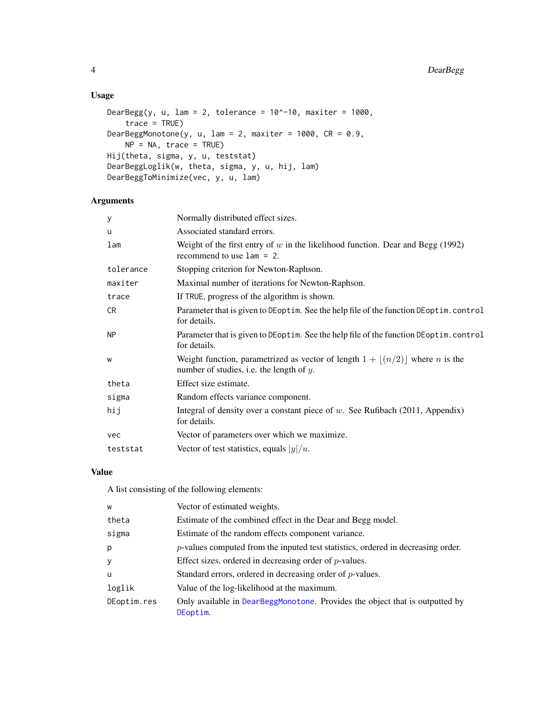# <span id="page-3-0"></span>Usage

```
DearBegg(y, u, lam = 2, tolerance = 10^{\circ}-10, maxiter = 1000,
    trace = TRUE)
DearBeggMonotone(y, u, lam = 2, maxiter = 1000, CR = 0.9,
    NP = NA, trace = TRUE)
Hij(theta, sigma, y, u, teststat)
DearBeggLoglik(w, theta, sigma, y, u, hij, lam)
DearBeggToMinimize(vec, y, u, lam)
```
# Arguments

| y              | Normally distributed effect sizes.                                                                                                                 |
|----------------|----------------------------------------------------------------------------------------------------------------------------------------------------|
| u              | Associated standard errors.                                                                                                                        |
| lam            | Weight of the first entry of $w$ in the likelihood function. Dear and Begg (1992)<br>recommend to use $1am = 2$ .                                  |
| tolerance      | Stopping criterion for Newton-Raphson.                                                                                                             |
| maxiter        | Maximal number of iterations for Newton-Raphson.                                                                                                   |
| trace          | If TRUE, progress of the algorithm is shown.                                                                                                       |
| CR.            | Parameter that is given to DEoptim. See the help file of the function DEoptim.control<br>for details.                                              |
| N <sub>P</sub> | Parameter that is given to DEoptim. See the help file of the function DEoptim.control<br>for details.                                              |
| W              | Weight function, parametrized as vector of length $1 + \lfloor (n/2) \rfloor$ where <i>n</i> is the<br>number of studies, i.e. the length of $y$ . |
| theta          | Effect size estimate.                                                                                                                              |
| sigma          | Random effects variance component.                                                                                                                 |
| hij            | Integral of density over a constant piece of $w$ . See Rufibach (2011, Appendix)<br>for details.                                                   |
| vec            | Vector of parameters over which we maximize.                                                                                                       |
| teststat       | Vector of test statistics, equals $ y /u$ .                                                                                                        |

# Value

A list consisting of the following elements:

| W           | Vector of estimated weights.                                                             |
|-------------|------------------------------------------------------------------------------------------|
| theta       | Estimate of the combined effect in the Dear and Begg model.                              |
| sigma       | Estimate of the random effects component variance.                                       |
| p           | $p$ -values computed from the inputed test statistics, ordered in decreasing order.      |
| У           | Effect sizes, ordered in decreasing order of $p$ -values.                                |
| u           | Standard errors, ordered in decreasing order of $p$ -values.                             |
| loglik      | Value of the log-likelihood at the maximum.                                              |
| DEoptim.res | Only available in DearBeggMonotone. Provides the object that is outputted by<br>DEoptim. |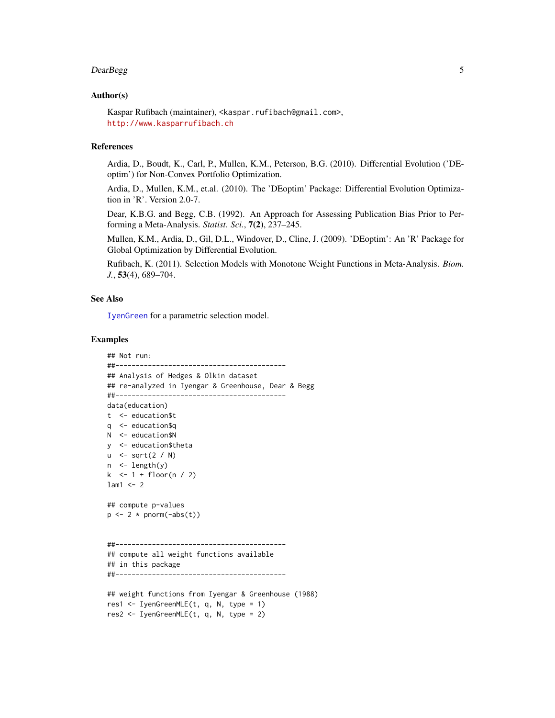#### <span id="page-4-0"></span>DearBegg 5

# Author(s)

Kaspar Rufibach (maintainer), <kaspar.rufibach@gmail.com>, <http://www.kasparrufibach.ch>

#### References

Ardia, D., Boudt, K., Carl, P., Mullen, K.M., Peterson, B.G. (2010). Differential Evolution ('DEoptim') for Non-Convex Portfolio Optimization.

Ardia, D., Mullen, K.M., et.al. (2010). The 'DEoptim' Package: Differential Evolution Optimization in 'R'. Version 2.0-7.

Dear, K.B.G. and Begg, C.B. (1992). An Approach for Assessing Publication Bias Prior to Performing a Meta-Analysis. *Statist. Sci.*, 7(2), 237–245.

Mullen, K.M., Ardia, D., Gil, D.L., Windover, D., Cline, J. (2009). 'DEoptim': An 'R' Package for Global Optimization by Differential Evolution.

Rufibach, K. (2011). Selection Models with Monotone Weight Functions in Meta-Analysis. *Biom. J.*, 53(4), 689–704.

# See Also

[IyenGreen](#page-12-1) for a parametric selection model.

#### Examples

```
## Not run:
##------------------------------------------
## Analysis of Hedges & Olkin dataset
## re-analyzed in Iyengar & Greenhouse, Dear & Begg
##------------------------------------------
data(education)
t <- education$t
q <- education$q
N <- education$N
y <- education$theta
u \le -sqrt(2 / N)n <- length(y)
k <- 1 + floor(n / 2)
lam1 < -2## compute p-values
p \leftarrow 2 * pnorm(-abs(t))##------------------------------------------
## compute all weight functions available
## in this package
##------------------------------------------
## weight functions from Iyengar & Greenhouse (1988)
res1 \leq IyenGreenMLE(t, q, N, type = 1)
res2 <- IyenGreenMLE(t, q, N, type = 2)
```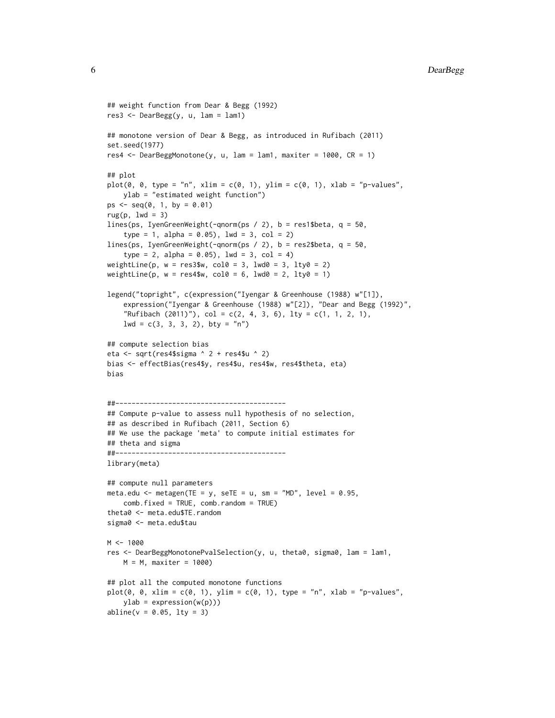```
## weight function from Dear & Begg (1992)
res3 <- DearBegg(y, u, lam = lam1)
## monotone version of Dear & Begg, as introduced in Rufibach (2011)
set.seed(1977)
res4 \leq DearBeggMonotone(y, u, lam = lam1, maxiter = 1000, CR = 1)
## plot
plot(0, 0, type = "n", xlim = c(0, 1), ylim = c(0, 1), xlab = "p-values",ylab = "estimated weight function")
ps \leq seq(0, 1, by = 0.01)rug(p, lwd = 3)lines(ps, IyenGreenWeight(-qnorm(ps / 2), b = res1$beta, q = 50,
    type = 1, alpha = 0.05), lwd = 3, col = 2)
lines(ps, IyenGreenWeight(-qnorm(ps / 2), b = res2$beta, q = 50,
    type = 2, alpha = 0.05), 1wd = 3, col = 4)
weightLine(p, w = \text{res3\$w}, col0 = 3, lwd0 = 3, lty0 = 2)
weightLine(p, w = \text{res4\$w}, col0 = 6, lwd0 = 2, lty0 = 1)
legend("topright", c(expression("Iyengar & Greenhouse (1988) w"[1]),
    expression("Iyengar & Greenhouse (1988) w"[2]), "Dear and Begg (1992)",
    "Rufibach (2011)"), col = c(2, 4, 3, 6), lty = c(1, 1, 2, 1),
    1wd = c(3, 3, 3, 2), bty = "n")## compute selection bias
eta <- sqrt(res4$sigma ^ 2 + res4$u ^ 2)
bias <- effectBias(res4$y, res4$u, res4$w, res4$theta, eta)
bias
##------------------------------------------
## Compute p-value to assess null hypothesis of no selection,
## as described in Rufibach (2011, Section 6)
## We use the package 'meta' to compute initial estimates for
## theta and sigma
##------------------------------------------
library(meta)
## compute null parameters
meta.edu <- metagen(TE = y, seTE = u, sm = "MD", level = 0.95,
    comb.fixed = TRUE, comb.random = TRUE)
theta0 <- meta.edu$TE.random
sigma0 <- meta.edu$tau
M < - 1000res <- DearBeggMonotonePvalSelection(y, u, theta0, sigma0, lam = lam1,
    M = M, maxiter = 1000)
## plot all the computed monotone functions
plot(0, 0, xlim = c(0, 1), ylim = c(0, 1), type = "n", xlab = "p-values",ylab = expression(w(p)))abline(v = 0.05, 1ty = 3)
```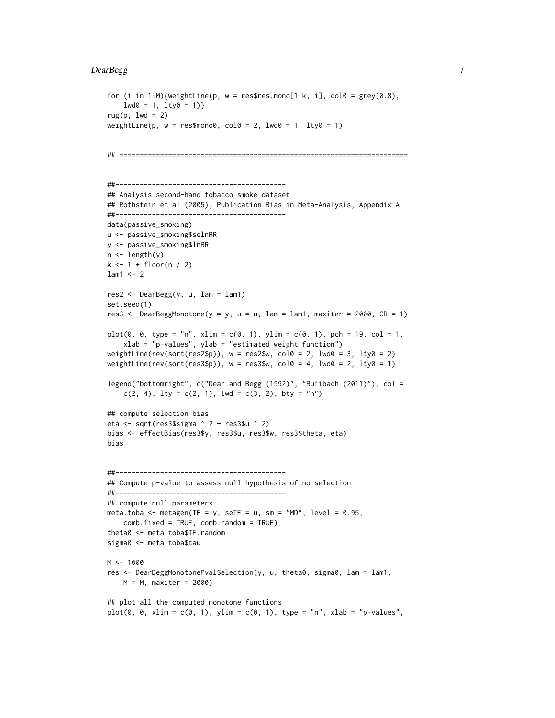#### DearBegg 7

```
for (i in 1:M){weightLine(p, w = res$res.mono[1:k, i], col0 = \text{grey}(0.8),
    1wd0 = 1, 1ty0 = 1)
rug(p, lwd = 2)weightLine(p, w = \text{res$mono0}, \text{col0} = 2, \text{l}wd0 = 1, \text{l}ty0 = 1)
## =======================================================================
##------------------------------------------
## Analysis second-hand tobacco smoke dataset
## Rothstein et al (2005), Publication Bias in Meta-Analysis, Appendix A
##------------------------------------------
data(passive_smoking)
u <- passive_smoking$selnRR
y <- passive_smoking$lnRR
n <- length(y)
k < -1 + floor(n / 2)
lam1 < -2res2 <- DearBegg(y, u, lam = lam1)
set.seed(1)
res3 <- DearBeggMonotone(y = y, u = u, lam = lam1, maxiter = 2000, CR = 1)
plot(0, 0, type = "n", xlim = c(0, 1), ylim = c(0, 1), pch = 19, col = 1,
    xlab = "p-values", ylab = "estimated weight function")
weightLine(rev(sort(res2$p)), w = \text{res}2\w, col0 = 2, lwd0 = 3, lty0 = 2)
weightLine(rev(sort(res3$p)), w = \text{res3$w}, col0 = 4, lwd0 = 2, lty0 = 1)
legend("bottomright", c("Dear and Begg (1992)", "Rufibach (2011)"), col =
   c(2, 4), lty = c(2, 1), lwd = c(3, 2), bty = "n")## compute selection bias
eta <- sqrt(res3$sigma ^ 2 + res3$u ^ 2)
bias <- effectBias(res3$y, res3$u, res3$w, res3$theta, eta)
bias
##------------------------------------------
## Compute p-value to assess null hypothesis of no selection
##------------------------------------------
## compute null parameters
meta.toba <- metagen(TE = y, seTE = u, sm = "MD", level = 0.95,
    comb.fixed = TRUE, comb.random = TRUE)
theta0 <- meta.toba$TE.random
sigma0 <- meta.toba$tau
M < - 1000res <- DearBeggMonotonePvalSelection(y, u, theta0, sigma0, lam = lam1,
   M = M, maxiter = 2000)
## plot all the computed monotone functions
plot(0, 0, xlim = c(0, 1), ylim = c(0, 1), type = "n", xlab = "p-values",
```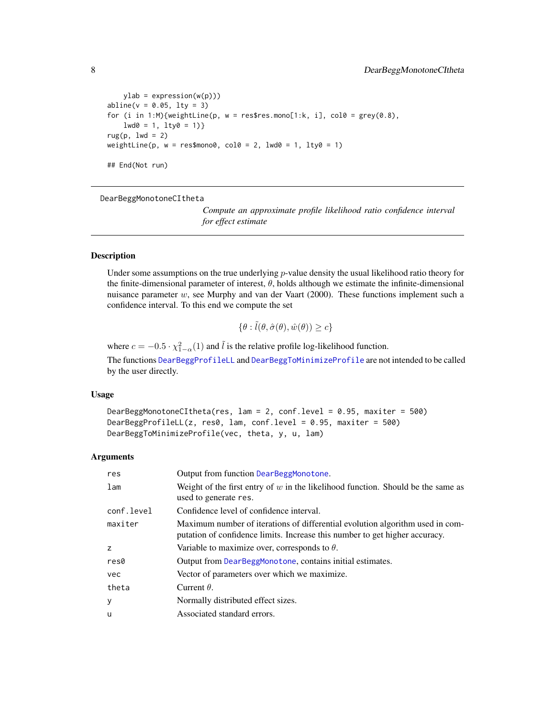```
ylab = expression(w(p)))abline(v = 0.05, 1ty = 3)for (i in 1:M){weightLine(p, w = res$res.mono[1:k, i], col0 = grey(0.8),
    1 \text{wd0} = 1, 1 \text{ty0} = 1)
rug(p, lwd = 2)weightLine(p, w = res$mono0, col0 = 2, lwd0 = 1, lty0 = 1)## End(Not run)
```
<span id="page-7-1"></span>DearBeggMonotoneCItheta

*Compute an approximate profile likelihood ratio confidence interval for effect estimate*

# <span id="page-7-2"></span>Description

Under some assumptions on the true underlying  $p$ -value density the usual likelihood ratio theory for the finite-dimensional parameter of interest,  $\theta$ , holds although we estimate the infinite-dimensional nuisance parameter  $w$ , see Murphy and van der Vaart (2000). These functions implement such a confidence interval. To this end we compute the set

$$
\{\theta : \tilde{l}(\theta, \hat{\sigma}(\theta), \hat{w}(\theta)) \ge c\}
$$

where  $c = -0.5 \cdot \chi_{1-\alpha}^2(1)$  and  $\tilde{l}$  is the relative profile log-likelihood function.

The functions [DearBeggProfileLL](#page-7-2) and [DearBeggToMinimizeProfile](#page-7-2) are not intended to be called by the user directly.

#### Usage

```
DearBeggMonotoneCItheta(res, lam = 2, conf.level = 0.95, maxiter = 500)
DearBeggProfileLL(z, res0, lam, conf.level = 0.95, maxiter = 500)
DearBeggToMinimizeProfile(vec, theta, y, u, lam)
```
#### Arguments

| res        | Output from function DearBeggMonotone.                                                                                                                       |
|------------|--------------------------------------------------------------------------------------------------------------------------------------------------------------|
| lam        | Weight of the first entry of $w$ in the likelihood function. Should be the same as<br>used to generate res.                                                  |
| conf.level | Confidence level of confidence interval.                                                                                                                     |
| maxiter    | Maximum number of iterations of differential evolution algorithm used in com-<br>putation of confidence limits. Increase this number to get higher accuracy. |
| z          | Variable to maximize over, corresponds to $\theta$ .                                                                                                         |
| res0       | Output from DearBeggMonotone, contains initial estimates.                                                                                                    |
| vec        | Vector of parameters over which we maximize.                                                                                                                 |
| theta      | Current $\theta$ .                                                                                                                                           |
| у          | Normally distributed effect sizes.                                                                                                                           |
| u          | Associated standard errors.                                                                                                                                  |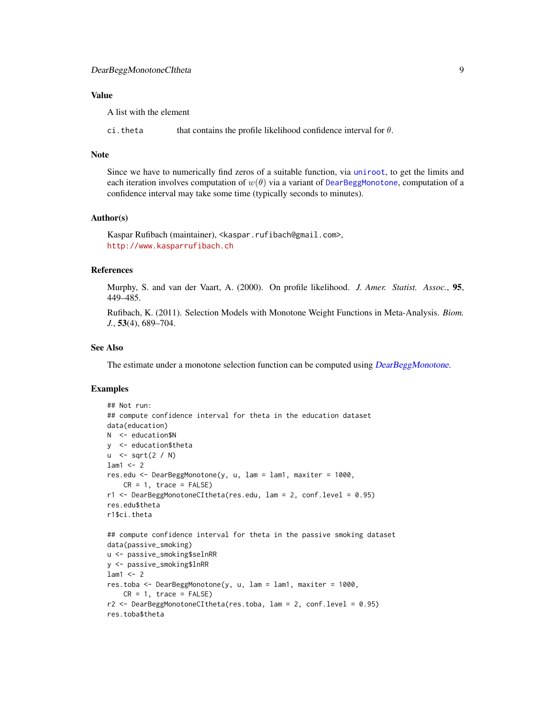# <span id="page-8-0"></span>Value

A list with the element

ci.theta that contains the profile likelihood confidence interval for  $\theta$ .

#### Note

Since we have to numerically find zeros of a suitable function, via [uniroot](#page-0-0), to get the limits and each iteration involves computation of  $w(\theta)$  via a variant of [DearBeggMonotone](#page-2-2), computation of a confidence interval may take some time (typically seconds to minutes).

## Author(s)

Kaspar Rufibach (maintainer), <kaspar.rufibach@gmail.com>, <http://www.kasparrufibach.ch>

# References

Murphy, S. and van der Vaart, A. (2000). On profile likelihood. *J. Amer. Statist. Assoc.*, 95, 449–485.

Rufibach, K. (2011). Selection Models with Monotone Weight Functions in Meta-Analysis. *Biom. J.*, 53(4), 689–704.

# See Also

The estimate under a monotone selection function can be computed using [DearBeggMonotone](#page-2-2).

#### Examples

```
## Not run:
## compute confidence interval for theta in the education dataset
data(education)
N <- education$N
y <- education$theta
u \le -sqrt(2 / N)lam1 < -2res.edu <- DearBeggMonotone(y, u, lam = lam1, maxiter = 1000,
    CR = 1, trace = FALSE)
r1 <- DearBeggMonotoneCItheta(res.edu, lam = 2, conf.level = 0.95)
res.edu$theta
r1$ci.theta
## compute confidence interval for theta in the passive smoking dataset
data(passive_smoking)
u <- passive_smoking$selnRR
y <- passive_smoking$lnRR
lam1 < -2res.toba <- DearBeggMonotone(y, u, lam = lam1, maxiter = 1000,
    CR = 1, trace = FALSE)r2 <- DearBeggMonotoneCItheta(res.toba, lam = 2, conf.level = 0.95)
res.toba$theta
```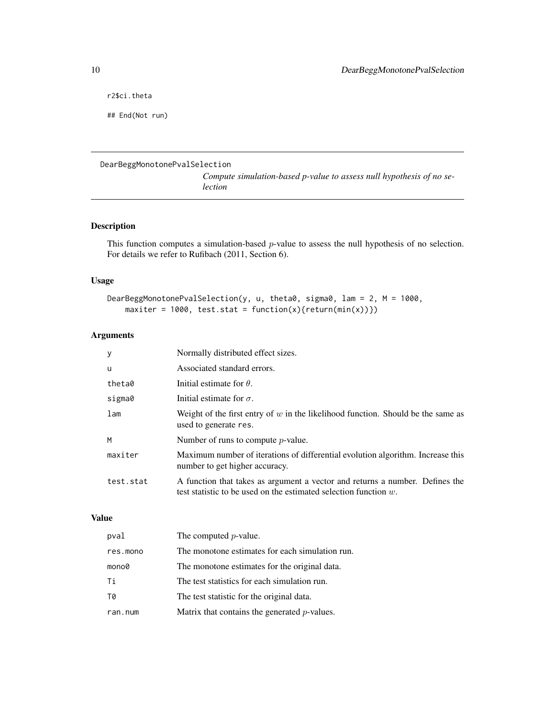<span id="page-9-0"></span>r2\$ci.theta

## End(Not run)

# <span id="page-9-1"></span>DearBeggMonotonePvalSelection

*Compute simulation-based p-value to assess null hypothesis of no selection*

# Description

This function computes a simulation-based p-value to assess the null hypothesis of no selection. For details we refer to Rufibach (2011, Section 6).

# Usage

```
DearBeggMonotonePvalSelection(y, u, theta0, sigma0, lam = 2, M = 1000,
   maxiter = 1000, test.stat = function(x){return(min(x))})
```
# Arguments

| У               | Normally distributed effect sizes.                                                                                                                  |
|-----------------|-----------------------------------------------------------------------------------------------------------------------------------------------------|
| u               | Associated standard errors.                                                                                                                         |
| theta0          | Initial estimate for $\theta$ .                                                                                                                     |
| sigma0          | Initial estimate for $\sigma$ .                                                                                                                     |
| 1 <sub>am</sub> | Weight of the first entry of w in the likelihood function. Should be the same as<br>used to generate res.                                           |
| M               | Number of runs to compute $p$ -value.                                                                                                               |
| maxiter         | Maximum number of iterations of differential evolution algorithm. Increase this<br>number to get higher accuracy.                                   |
| test.stat       | A function that takes as argument a vector and returns a number. Defines the<br>test statistic to be used on the estimated selection function $w$ . |

# Value

| pval     | The computed $p$ -value.                        |
|----------|-------------------------------------------------|
| res.mono | The monotone estimates for each simulation run. |
| mono0    | The monotone estimates for the original data.   |
| Τi       | The test statistics for each simulation run.    |
| T0       | The test statistic for the original data.       |
| ran.num  | Matrix that contains the generated $p$ -values. |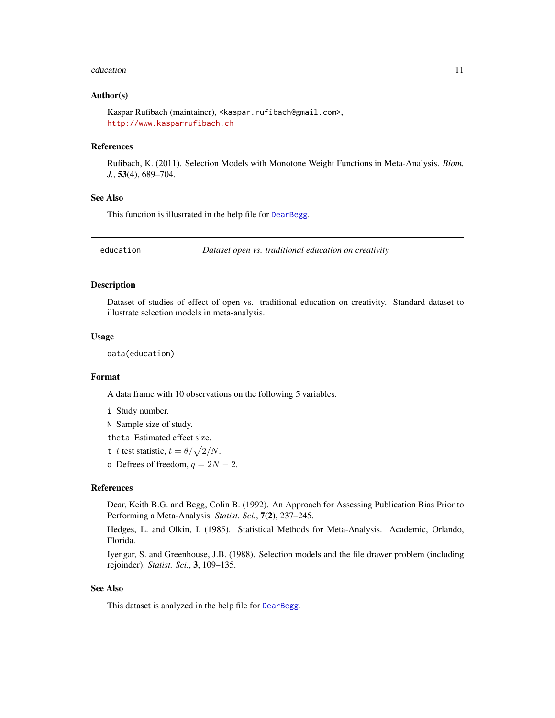#### <span id="page-10-0"></span>education and the contract of the contract of the contract of the contract of the contract of the contract of the contract of the contract of the contract of the contract of the contract of the contract of the contract of

# Author(s)

Kaspar Rufibach (maintainer), <kaspar.rufibach@gmail.com>, <http://www.kasparrufibach.ch>

# References

Rufibach, K. (2011). Selection Models with Monotone Weight Functions in Meta-Analysis. *Biom. J.*, 53(4), 689–704.

# See Also

This function is illustrated in the help file for [DearBegg](#page-2-1).

<span id="page-10-1"></span>education *Dataset open vs. traditional education on creativity*

#### **Description**

Dataset of studies of effect of open vs. traditional education on creativity. Standard dataset to illustrate selection models in meta-analysis.

#### Usage

data(education)

#### Format

A data frame with 10 observations on the following 5 variables.

- i Study number.
- N Sample size of study.

theta Estimated effect size.

- t t test statistic,  $t = \theta / \sqrt{2/N}$ .
- q Defrees of freedom,  $q = 2N 2$ .

#### References

Dear, Keith B.G. and Begg, Colin B. (1992). An Approach for Assessing Publication Bias Prior to Performing a Meta-Analysis. *Statist. Sci.*, 7(2), 237–245.

Hedges, L. and Olkin, I. (1985). Statistical Methods for Meta-Analysis. Academic, Orlando, Florida.

Iyengar, S. and Greenhouse, J.B. (1988). Selection models and the file drawer problem (including rejoinder). *Statist. Sci.*, 3, 109–135.

# See Also

This dataset is analyzed in the help file for [DearBegg](#page-2-1).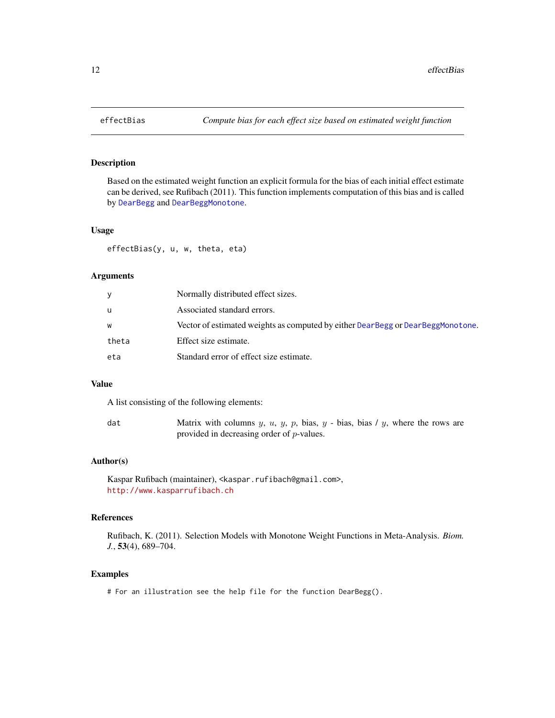# Description

Based on the estimated weight function an explicit formula for the bias of each initial effect estimate can be derived, see Rufibach (2011). This function implements computation of this bias and is called by [DearBegg](#page-2-1) and [DearBeggMonotone](#page-2-2).

# Usage

effectBias(y, u, w, theta, eta)

# Arguments

| V     | Normally distributed effect sizes.                                              |
|-------|---------------------------------------------------------------------------------|
| u     | Associated standard errors.                                                     |
| W     | Vector of estimated weights as computed by either DearBegg or DearBeggMonotone. |
| theta | Effect size estimate.                                                           |
| eta   | Standard error of effect size estimate.                                         |

# Value

A list consisting of the following elements:

| dat | Matrix with columns $y, u, y, p$ , bias, $y$ - bias, bias / $y$ , where the rows are |
|-----|--------------------------------------------------------------------------------------|
|     | provided in decreasing order of $p$ -values.                                         |

# Author(s)

```
Kaspar Rufibach (maintainer), <kaspar.rufibach@gmail.com>,
http://www.kasparrufibach.ch
```
# References

Rufibach, K. (2011). Selection Models with Monotone Weight Functions in Meta-Analysis. *Biom. J.*, 53(4), 689–704.

# Examples

# For an illustration see the help file for the function DearBegg().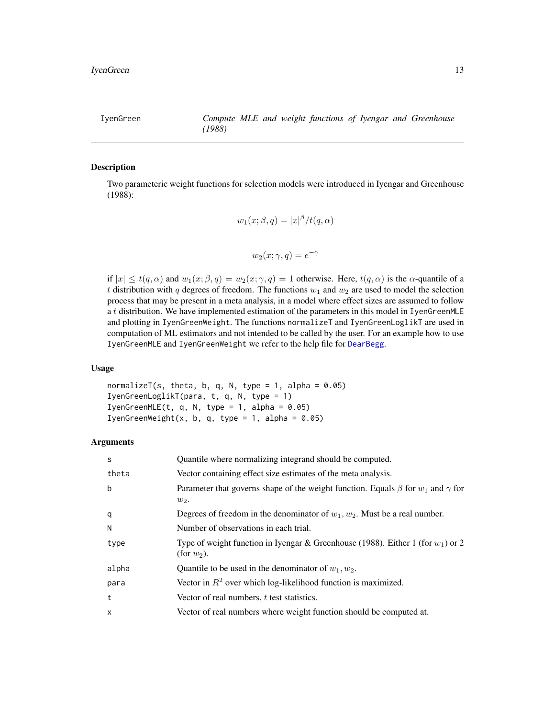<span id="page-12-1"></span><span id="page-12-0"></span>IyenGreen *Compute MLE and weight functions of Iyengar and Greenhouse (1988)*

# Description

Two parameteric weight functions for selection models were introduced in Iyengar and Greenhouse (1988):

$$
w_1(x; \beta, q) = |x|^{\beta}/t(q, \alpha)
$$

$$
w_2(x; \gamma, q) = e^{-\gamma}
$$

if  $|x| \le t(q,\alpha)$  and  $w_1(x;\beta,q) = w_2(x;\gamma,q) = 1$  otherwise. Here,  $t(q,\alpha)$  is the  $\alpha$ -quantile of a t distribution with q degrees of freedom. The functions  $w_1$  and  $w_2$  are used to model the selection process that may be present in a meta analysis, in a model where effect sizes are assumed to follow a t distribution. We have implemented estimation of the parameters in this model in IyenGreenMLE and plotting in IyenGreenWeight. The functions normalizeT and IyenGreenLoglikT are used in computation of ML estimators and not intended to be called by the user. For an example how to use IyenGreenMLE and IyenGreenWeight we refer to the help file for [DearBegg](#page-2-1).

### Usage

normalizeT(s, theta, b, q, N, type = 1, alpha =  $0.05$ ) IyenGreenLoglikT(para, t, q, N, type = 1) IyenGreenMLE(t, q, N, type = 1, alpha =  $0.05$ ) IyenGreenWeight(x, b, q, type = 1, alpha =  $0.05$ )

# Arguments

| S     | Quantile where normalizing integrand should be computed.                                                  |
|-------|-----------------------------------------------------------------------------------------------------------|
| theta | Vector containing effect size estimates of the meta analysis.                                             |
| b     | Parameter that governs shape of the weight function. Equals $\beta$ for $w_1$ and $\gamma$ for<br>$w_2$ . |
| q     | Degrees of freedom in the denominator of $w_1, w_2$ . Must be a real number.                              |
| N     | Number of observations in each trial.                                                                     |
| type  | Type of weight function in Iyengar & Greenhouse (1988). Either 1 (for $w_1$ ) or 2<br>(for $w_2$ ).       |
| alpha | Quantile to be used in the denominator of $w_1, w_2$ .                                                    |
| para  | Vector in $R^2$ over which log-likelihood function is maximized.                                          |
| t     | Vector of real numbers, $t$ test statistics.                                                              |
| X     | Vector of real numbers where weight function should be computed at.                                       |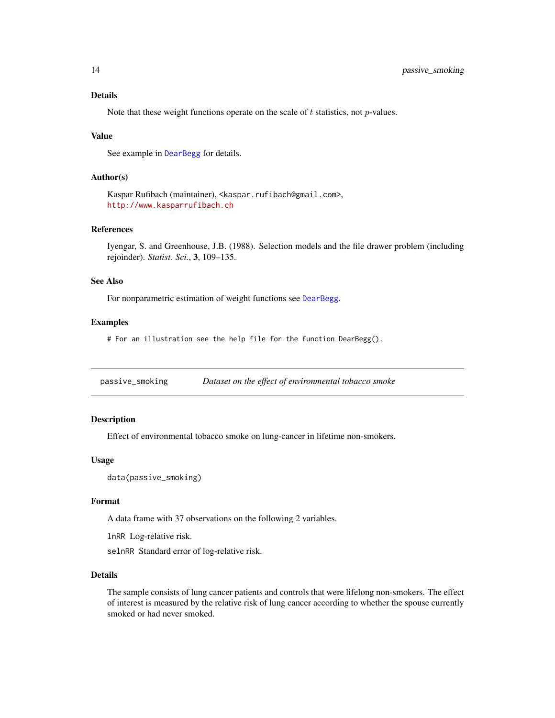# <span id="page-13-0"></span>Details

Note that these weight functions operate on the scale of  $t$  statistics, not  $p$ -values.

#### Value

See example in [DearBegg](#page-2-1) for details.

# Author(s)

Kaspar Rufibach (maintainer), <kaspar.rufibach@gmail.com>, <http://www.kasparrufibach.ch>

# References

Iyengar, S. and Greenhouse, J.B. (1988). Selection models and the file drawer problem (including rejoinder). *Statist. Sci.*, 3, 109–135.

#### See Also

For nonparametric estimation of weight functions see [DearBegg](#page-2-1).

#### Examples

# For an illustration see the help file for the function DearBegg().

<span id="page-13-1"></span>passive\_smoking *Dataset on the effect of environmental tobacco smoke*

# Description

Effect of environmental tobacco smoke on lung-cancer in lifetime non-smokers.

# Usage

data(passive\_smoking)

#### Format

A data frame with 37 observations on the following 2 variables.

lnRR Log-relative risk.

selnRR Standard error of log-relative risk.

# Details

The sample consists of lung cancer patients and controls that were lifelong non-smokers. The effect of interest is measured by the relative risk of lung cancer according to whether the spouse currently smoked or had never smoked.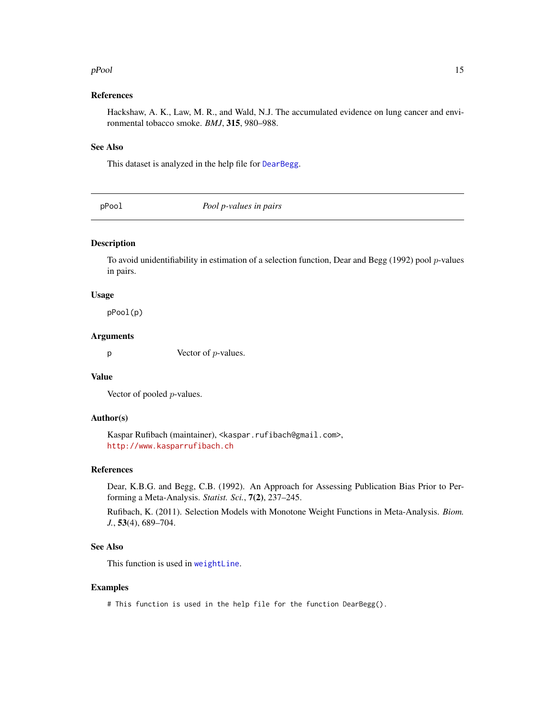#### <span id="page-14-0"></span>pPool and the set of the set of the set of the set of the set of the set of the set of the set of the set of the set of the set of the set of the set of the set of the set of the set of the set of the set of the set of the

# References

Hackshaw, A. K., Law, M. R., and Wald, N.J. The accumulated evidence on lung cancer and environmental tobacco smoke. *BMJ*, 315, 980–988.

# See Also

This dataset is analyzed in the help file for [DearBegg](#page-2-1).

pPool *Pool p-values in pairs*

# Description

To avoid unidentifiability in estimation of a selection function, Dear and Begg (1992) pool *p*-values in pairs.

# Usage

pPool(p)

# Arguments

 $p$  Vector of *p*-values.

# Value

Vector of pooled p-values.

# Author(s)

Kaspar Rufibach (maintainer), <kaspar.rufibach@gmail.com>, <http://www.kasparrufibach.ch>

# References

Dear, K.B.G. and Begg, C.B. (1992). An Approach for Assessing Publication Bias Prior to Performing a Meta-Analysis. *Statist. Sci.*, 7(2), 237–245.

Rufibach, K. (2011). Selection Models with Monotone Weight Functions in Meta-Analysis. *Biom. J.*, 53(4), 689–704.

# See Also

This function is used in [weightLine](#page-16-1).

# Examples

# This function is used in the help file for the function DearBegg().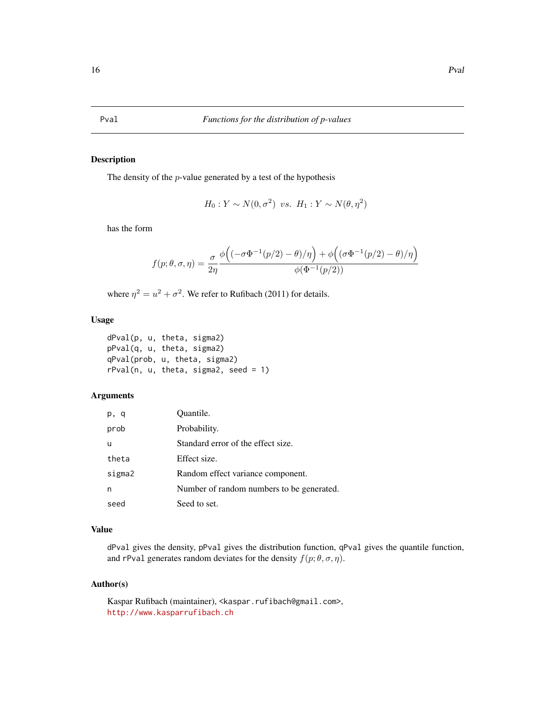# <span id="page-15-0"></span>Description

The density of the p-value generated by a test of the hypothesis

$$
H_0: Y \sim N(0, \sigma^2) \ \ vs. \ \ H_1: Y \sim N(\theta, \eta^2)
$$

has the form

$$
f(p; \theta, \sigma, \eta) = \frac{\sigma}{2\eta} \frac{\phi\left((-\sigma\Phi^{-1}(p/2) - \theta)/\eta\right) + \phi\left((\sigma\Phi^{-1}(p/2) - \theta)/\eta\right)}{\phi(\Phi^{-1}(p/2))}
$$

where  $\eta^2 = u^2 + \sigma^2$ . We refer to Rufibach (2011) for details.

# Usage

dPval(p, u, theta, sigma2) pPval(q, u, theta, sigma2) qPval(prob, u, theta, sigma2)  $rPval(n, u, theta, sigma2, seed = 1)$ 

# Arguments

| p, q   | Quantile.                                 |
|--------|-------------------------------------------|
| prob   | Probability.                              |
| u      | Standard error of the effect size.        |
| theta  | Effect size.                              |
| sigma2 | Random effect variance component.         |
| n      | Number of random numbers to be generated. |
| seed   | Seed to set.                              |

# Value

dPval gives the density, pPval gives the distribution function, qPval gives the quantile function, and rPval generates random deviates for the density  $f(p; \theta, \sigma, \eta)$ .

# Author(s)

Kaspar Rufibach (maintainer), <kaspar.rufibach@gmail.com>, <http://www.kasparrufibach.ch>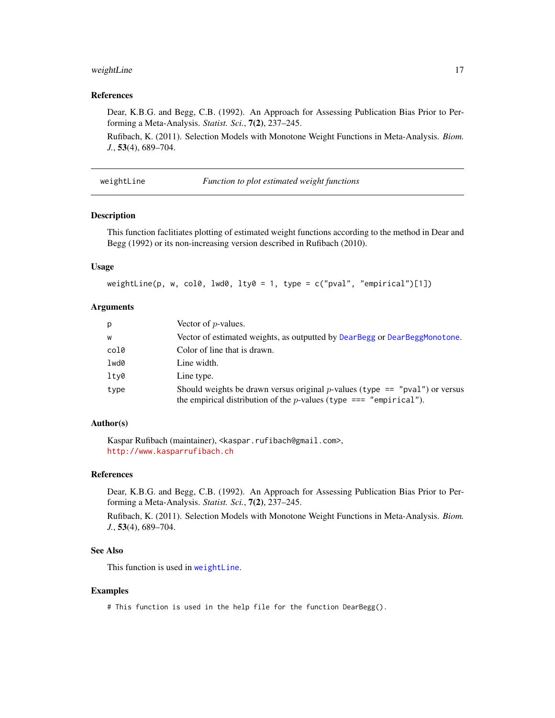# <span id="page-16-0"></span>weightLine 17

# References

Dear, K.B.G. and Begg, C.B. (1992). An Approach for Assessing Publication Bias Prior to Performing a Meta-Analysis. *Statist. Sci.*, 7(2), 237–245.

Rufibach, K. (2011). Selection Models with Monotone Weight Functions in Meta-Analysis. *Biom. J.*, 53(4), 689–704.

<span id="page-16-1"></span>weightLine *Function to plot estimated weight functions*

#### Description

This function faclitiates plotting of estimated weight functions according to the method in Dear and Begg (1992) or its non-increasing version described in Rufibach (2010).

# Usage

```
weightLine(p, w, col0, lwd0, lty0 = 1, type = c("pval", "empirical")[1])
```
# Arguments

| p    | Vector of $p$ -values.                                                                                                                                             |
|------|--------------------------------------------------------------------------------------------------------------------------------------------------------------------|
| W    | Vector of estimated weights, as outputted by DearBegg or DearBeggMonotone.                                                                                         |
| col0 | Color of line that is drawn.                                                                                                                                       |
| lwd0 | Line width.                                                                                                                                                        |
| lty0 | Line type.                                                                                                                                                         |
| type | Should weights be drawn versus original <i>p</i> -values (type == "pval") or versus<br>the empirical distribution of the <i>p</i> -values (type $==$ "empirical"). |

# Author(s)

Kaspar Rufibach (maintainer), <kaspar.rufibach@gmail.com>, <http://www.kasparrufibach.ch>

# References

Dear, K.B.G. and Begg, C.B. (1992). An Approach for Assessing Publication Bias Prior to Performing a Meta-Analysis. *Statist. Sci.*, 7(2), 237–245.

Rufibach, K. (2011). Selection Models with Monotone Weight Functions in Meta-Analysis. *Biom. J.*, 53(4), 689–704.

#### See Also

This function is used in [weightLine](#page-16-1).

#### Examples

# This function is used in the help file for the function DearBegg().